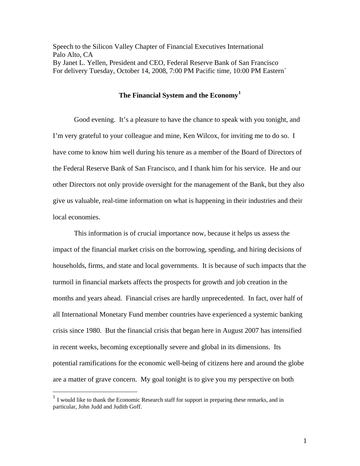Speech to the Silicon Valley Chapter of Financial Executives International Palo Alto, CA By Janet L. Yellen, President and CEO, Federal Reserve Bank of San Francisco For delivery Tuesday, October 14, 2008, 7:00 PM Pacific time, 10:00 PM Eastern`

## **The Financial System and the Economy[1](#page-0-0)**

Good evening. It's a pleasure to have the chance to speak with you tonight, and I'm very grateful to your colleague and mine, Ken Wilcox, for inviting me to do so. I have come to know him well during his tenure as a member of the Board of Directors of the Federal Reserve Bank of San Francisco, and I thank him for his service. He and our other Directors not only provide oversight for the management of the Bank, but they also give us valuable, real-time information on what is happening in their industries and their local economies.

This information is of crucial importance now, because it helps us assess the impact of the financial market crisis on the borrowing, spending, and hiring decisions of households, firms, and state and local governments. It is because of such impacts that the turmoil in financial markets affects the prospects for growth and job creation in the months and years ahead. Financial crises are hardly unprecedented. In fact, over half of all International Monetary Fund member countries have experienced a systemic banking crisis since 1980. But the financial crisis that began here in August 2007 has intensified in recent weeks, becoming exceptionally severe and global in its dimensions. Its potential ramifications for the economic well-being of citizens here and around the globe are a matter of grave concern. My goal tonight is to give you my perspective on both

 $\overline{a}$ 

<span id="page-0-0"></span> $<sup>1</sup>$  I would like to thank the Economic Research staff for support in preparing these remarks, and in</sup> particular, John Judd and Judith Goff.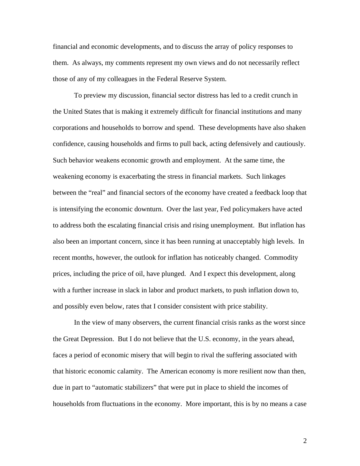financial and economic developments, and to discuss the array of policy responses to them. As always, my comments represent my own views and do not necessarily reflect those of any of my colleagues in the Federal Reserve System.

To preview my discussion, financial sector distress has led to a credit crunch in the United States that is making it extremely difficult for financial institutions and many corporations and households to borrow and spend. These developments have also shaken confidence, causing households and firms to pull back, acting defensively and cautiously. Such behavior weakens economic growth and employment. At the same time, the weakening economy is exacerbating the stress in financial markets. Such linkages between the "real" and financial sectors of the economy have created a feedback loop that is intensifying the economic downturn. Over the last year, Fed policymakers have acted to address both the escalating financial crisis and rising unemployment. But inflation has also been an important concern, since it has been running at unacceptably high levels. In recent months, however, the outlook for inflation has noticeably changed. Commodity prices, including the price of oil, have plunged. And I expect this development, along with a further increase in slack in labor and product markets, to push inflation down to, and possibly even below, rates that I consider consistent with price stability.

In the view of many observers, the current financial crisis ranks as the worst since the Great Depression. But I do not believe that the U.S. economy, in the years ahead, faces a period of economic misery that will begin to rival the suffering associated with that historic economic calamity. The American economy is more resilient now than then, due in part to "automatic stabilizers" that were put in place to shield the incomes of households from fluctuations in the economy. More important, this is by no means a case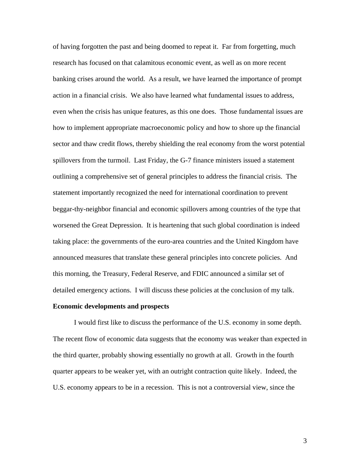of having forgotten the past and being doomed to repeat it. Far from forgetting, much research has focused on that calamitous economic event, as well as on more recent banking crises around the world. As a result, we have learned the importance of prompt action in a financial crisis. We also have learned what fundamental issues to address, even when the crisis has unique features, as this one does. Those fundamental issues are how to implement appropriate macroeconomic policy and how to shore up the financial sector and thaw credit flows, thereby shielding the real economy from the worst potential spillovers from the turmoil. Last Friday, the G-7 finance ministers issued a statement outlining a comprehensive set of general principles to address the financial crisis. The statement importantly recognized the need for international coordination to prevent beggar-thy-neighbor financial and economic spillovers among countries of the type that worsened the Great Depression. It is heartening that such global coordination is indeed taking place: the governments of the euro-area countries and the United Kingdom have announced measures that translate these general principles into concrete policies. And this morning, the Treasury, Federal Reserve, and FDIC announced a similar set of detailed emergency actions. I will discuss these policies at the conclusion of my talk.

## **Economic developments and prospects**

I would first like to discuss the performance of the U.S. economy in some depth. The recent flow of economic data suggests that the economy was weaker than expected in the third quarter, probably showing essentially no growth at all. Growth in the fourth quarter appears to be weaker yet, with an outright contraction quite likely. Indeed, the U.S. economy appears to be in a recession. This is not a controversial view, since the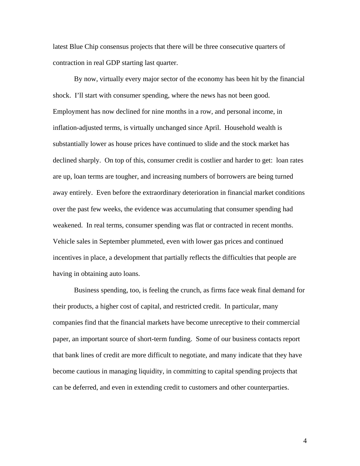latest Blue Chip consensus projects that there will be three consecutive quarters of contraction in real GDP starting last quarter.

By now, virtually every major sector of the economy has been hit by the financial shock. I'll start with consumer spending, where the news has not been good. Employment has now declined for nine months in a row, and personal income, in inflation-adjusted terms, is virtually unchanged since April. Household wealth is substantially lower as house prices have continued to slide and the stock market has declined sharply. On top of this, consumer credit is costlier and harder to get: loan rates are up, loan terms are tougher, and increasing numbers of borrowers are being turned away entirely. Even before the extraordinary deterioration in financial market conditions over the past few weeks, the evidence was accumulating that consumer spending had weakened. In real terms, consumer spending was flat or contracted in recent months. Vehicle sales in September plummeted, even with lower gas prices and continued incentives in place, a development that partially reflects the difficulties that people are having in obtaining auto loans.

Business spending, too, is feeling the crunch, as firms face weak final demand for their products, a higher cost of capital, and restricted credit. In particular, many companies find that the financial markets have become unreceptive to their commercial paper, an important source of short-term funding. Some of our business contacts report that bank lines of credit are more difficult to negotiate, and many indicate that they have become cautious in managing liquidity, in committing to capital spending projects that can be deferred, and even in extending credit to customers and other counterparties.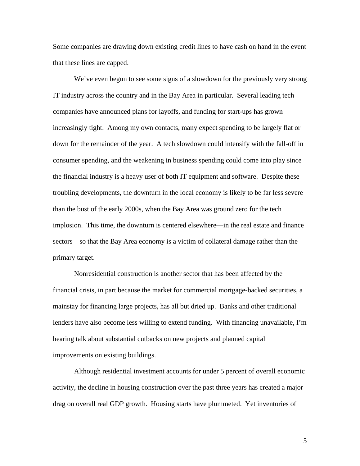Some companies are drawing down existing credit lines to have cash on hand in the event that these lines are capped.

We've even begun to see some signs of a slowdown for the previously very strong IT industry across the country and in the Bay Area in particular. Several leading tech companies have announced plans for layoffs, and funding for start-ups has grown increasingly tight. Among my own contacts, many expect spending to be largely flat or down for the remainder of the year. A tech slowdown could intensify with the fall-off in consumer spending, and the weakening in business spending could come into play since the financial industry is a heavy user of both IT equipment and software. Despite these troubling developments, the downturn in the local economy is likely to be far less severe than the bust of the early 2000s, when the Bay Area was ground zero for the tech implosion. This time, the downturn is centered elsewhere—in the real estate and finance sectors—so that the Bay Area economy is a victim of collateral damage rather than the primary target.

Nonresidential construction is another sector that has been affected by the financial crisis, in part because the market for commercial mortgage-backed securities, a mainstay for financing large projects, has all but dried up. Banks and other traditional lenders have also become less willing to extend funding. With financing unavailable, I'm hearing talk about substantial cutbacks on new projects and planned capital improvements on existing buildings.

Although residential investment accounts for under 5 percent of overall economic activity, the decline in housing construction over the past three years has created a major drag on overall real GDP growth. Housing starts have plummeted. Yet inventories of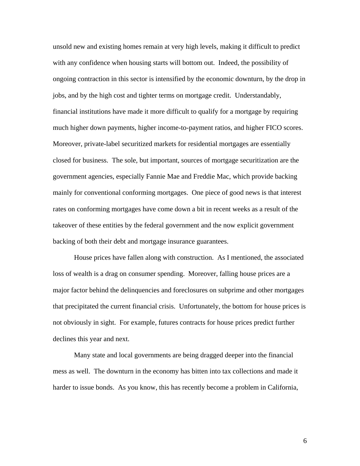unsold new and existing homes remain at very high levels, making it difficult to predict with any confidence when housing starts will bottom out. Indeed, the possibility of ongoing contraction in this sector is intensified by the economic downturn, by the drop in jobs, and by the high cost and tighter terms on mortgage credit. Understandably, financial institutions have made it more difficult to qualify for a mortgage by requiring much higher down payments, higher income-to-payment ratios, and higher FICO scores. Moreover, private-label securitized markets for residential mortgages are essentially closed for business. The sole, but important, sources of mortgage securitization are the government agencies, especially Fannie Mae and Freddie Mac, which provide backing mainly for conventional conforming mortgages. One piece of good news is that interest rates on conforming mortgages have come down a bit in recent weeks as a result of the takeover of these entities by the federal government and the now explicit government backing of both their debt and mortgage insurance guarantees.

House prices have fallen along with construction. As I mentioned, the associated loss of wealth is a drag on consumer spending. Moreover, falling house prices are a major factor behind the delinquencies and foreclosures on subprime and other mortgages that precipitated the current financial crisis. Unfortunately, the bottom for house prices is not obviously in sight. For example, futures contracts for house prices predict further declines this year and next.

 Many state and local governments are being dragged deeper into the financial mess as well. The downturn in the economy has bitten into tax collections and made it harder to issue bonds. As you know, this has recently become a problem in California,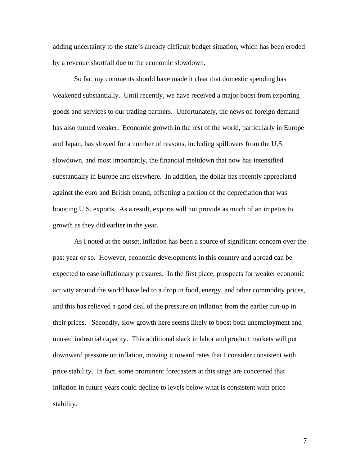adding uncertainty to the state's already difficult budget situation, which has been eroded by a revenue shortfall due to the economic slowdown.

So far, my comments should have made it clear that domestic spending has weakened substantially. Until recently, we have received a major boost from exporting goods and services to our trading partners. Unfortunately, the news on foreign demand has also turned weaker. Economic growth in the rest of the world, particularly in Europe and Japan, has slowed for a number of reasons, including spillovers from the U.S. slowdown, and most importantly, the financial meltdown that now has intensified substantially in Europe and elsewhere. In addition, the dollar has recently appreciated against the euro and British pound, offsetting a portion of the depreciation that was boosting U.S. exports. As a result, exports will not provide as much of an impetus to growth as they did earlier in the year.

As I noted at the outset, inflation has been a source of significant concern over the past year or so. However, economic developments in this country and abroad can be expected to ease inflationary pressures. In the first place, prospects for weaker economic activity around the world have led to a drop in food, energy, and other commodity prices, and this has relieved a good deal of the pressure on inflation from the earlier run-up in their prices. Secondly, slow growth here seems likely to boost both unemployment and unused industrial capacity. This additional slack in labor and product markets will put downward pressure on inflation, moving it toward rates that I consider consistent with price stability. In fact, some prominent forecasters at this stage are concerned that inflation in future years could decline to levels below what is consistent with price stability.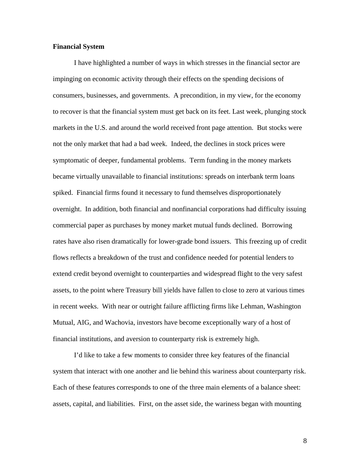## **Financial System**

I have highlighted a number of ways in which stresses in the financial sector are impinging on economic activity through their effects on the spending decisions of consumers, businesses, and governments. A precondition, in my view, for the economy to recover is that the financial system must get back on its feet. Last week, plunging stock markets in the U.S. and around the world received front page attention. But stocks were not the only market that had a bad week. Indeed, the declines in stock prices were symptomatic of deeper, fundamental problems. Term funding in the money markets became virtually unavailable to financial institutions: spreads on interbank term loans spiked. Financial firms found it necessary to fund themselves disproportionately overnight. In addition, both financial and nonfinancial corporations had difficulty issuing commercial paper as purchases by money market mutual funds declined. Borrowing rates have also risen dramatically for lower-grade bond issuers. This freezing up of credit flows reflects a breakdown of the trust and confidence needed for potential lenders to extend credit beyond overnight to counterparties and widespread flight to the very safest assets, to the point where Treasury bill yields have fallen to close to zero at various times in recent weeks. With near or outright failure afflicting firms like Lehman, Washington Mutual, AIG, and Wachovia, investors have become exceptionally wary of a host of financial institutions, and aversion to counterparty risk is extremely high.

I'd like to take a few moments to consider three key features of the financial system that interact with one another and lie behind this wariness about counterparty risk. Each of these features corresponds to one of the three main elements of a balance sheet: assets, capital, and liabilities. First, on the asset side, the wariness began with mounting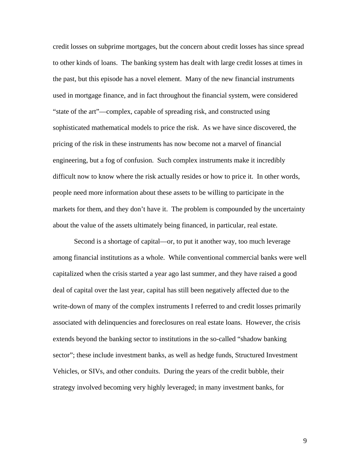credit losses on subprime mortgages, but the concern about credit losses has since spread to other kinds of loans. The banking system has dealt with large credit losses at times in the past, but this episode has a novel element. Many of the new financial instruments used in mortgage finance, and in fact throughout the financial system, were considered "state of the art"—complex, capable of spreading risk, and constructed using sophisticated mathematical models to price the risk. As we have since discovered, the pricing of the risk in these instruments has now become not a marvel of financial engineering, but a fog of confusion. Such complex instruments make it incredibly difficult now to know where the risk actually resides or how to price it. In other words, people need more information about these assets to be willing to participate in the markets for them, and they don't have it. The problem is compounded by the uncertainty about the value of the assets ultimately being financed, in particular, real estate.

Second is a shortage of capital—or, to put it another way, too much leverage among financial institutions as a whole. While conventional commercial banks were well capitalized when the crisis started a year ago last summer, and they have raised a good deal of capital over the last year, capital has still been negatively affected due to the write-down of many of the complex instruments I referred to and credit losses primarily associated with delinquencies and foreclosures on real estate loans. However, the crisis extends beyond the banking sector to institutions in the so-called "shadow banking sector"; these include investment banks, as well as hedge funds, Structured Investment Vehicles, or SIVs, and other conduits. During the years of the credit bubble, their strategy involved becoming very highly leveraged; in many investment banks, for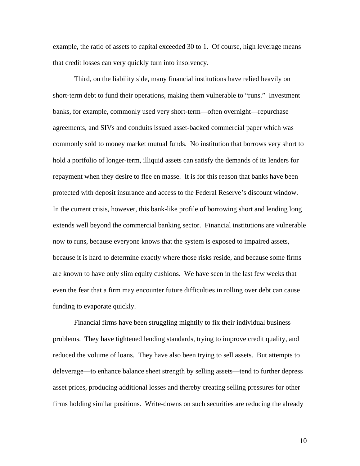example, the ratio of assets to capital exceeded 30 to 1. Of course, high leverage means that credit losses can very quickly turn into insolvency.

Third, on the liability side, many financial institutions have relied heavily on short-term debt to fund their operations, making them vulnerable to "runs." Investment banks, for example, commonly used very short-term—often overnight—repurchase agreements, and SIVs and conduits issued asset-backed commercial paper which was commonly sold to money market mutual funds. No institution that borrows very short to hold a portfolio of longer-term, illiquid assets can satisfy the demands of its lenders for repayment when they desire to flee en masse. It is for this reason that banks have been protected with deposit insurance and access to the Federal Reserve's discount window. In the current crisis, however, this bank-like profile of borrowing short and lending long extends well beyond the commercial banking sector. Financial institutions are vulnerable now to runs, because everyone knows that the system is exposed to impaired assets, because it is hard to determine exactly where those risks reside, and because some firms are known to have only slim equity cushions. We have seen in the last few weeks that even the fear that a firm may encounter future difficulties in rolling over debt can cause funding to evaporate quickly.

Financial firms have been struggling mightily to fix their individual business problems. They have tightened lending standards, trying to improve credit quality, and reduced the volume of loans. They have also been trying to sell assets. But attempts to deleverage—to enhance balance sheet strength by selling assets—tend to further depress asset prices, producing additional losses and thereby creating selling pressures for other firms holding similar positions. Write-downs on such securities are reducing the already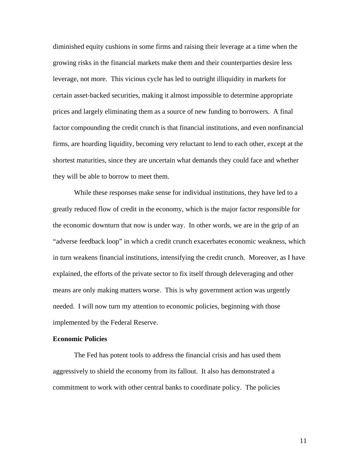diminished equity cushions in some firms and raising their leverage at a time when the growing risks in the financial markets make them and their counterparties desire less leverage, not more. This vicious cycle has led to outright illiquidity in markets for certain asset-backed securities, making it almost impossible to determine appropriate prices and largely eliminating them as a source of new funding to borrowers. A final factor compounding the credit crunch is that financial institutions, and even nonfinancial firms, are hoarding liquidity, becoming very reluctant to lend to each other, except at the shortest maturities, since they are uncertain what demands they could face and whether they will be able to borrow to meet them.

While these responses make sense for individual institutions, they have led to a greatly reduced flow of credit in the economy, which is the major factor responsible for the economic downturn that now is under way. In other words, we are in the grip of an "adverse feedback loop" in which a credit crunch exacerbates economic weakness, which in turn weakens financial institutions, intensifying the credit crunch. Moreover, as I have explained, the efforts of the private sector to fix itself through deleveraging and other means are only making matters worse. This is why government action was urgently needed. I will now turn my attention to economic policies, beginning with those implemented by the Federal Reserve.

## **Economic Policies**

The Fed has potent tools to address the financial crisis and has used them aggressively to shield the economy from its fallout. It also has demonstrated a commitment to work with other central banks to coordinate policy. The policies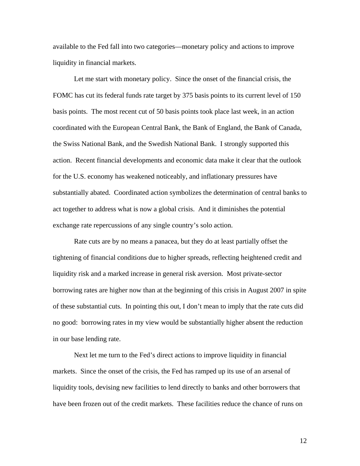available to the Fed fall into two categories—monetary policy and actions to improve liquidity in financial markets.

Let me start with monetary policy. Since the onset of the financial crisis, the FOMC has cut its federal funds rate target by 375 basis points to its current level of 150 basis points. The most recent cut of 50 basis points took place last week, in an action coordinated with the European Central Bank, the Bank of England, the Bank of Canada, the Swiss National Bank, and the Swedish National Bank. I strongly supported this action. Recent financial developments and economic data make it clear that the outlook for the U.S. economy has weakened noticeably, and inflationary pressures have substantially abated. Coordinated action symbolizes the determination of central banks to act together to address what is now a global crisis. And it diminishes the potential exchange rate repercussions of any single country's solo action.

Rate cuts are by no means a panacea, but they do at least partially offset the tightening of financial conditions due to higher spreads, reflecting heightened credit and liquidity risk and a marked increase in general risk aversion. Most private-sector borrowing rates are higher now than at the beginning of this crisis in August 2007 in spite of these substantial cuts. In pointing this out, I don't mean to imply that the rate cuts did no good: borrowing rates in my view would be substantially higher absent the reduction in our base lending rate.

Next let me turn to the Fed's direct actions to improve liquidity in financial markets. Since the onset of the crisis, the Fed has ramped up its use of an arsenal of liquidity tools, devising new facilities to lend directly to banks and other borrowers that have been frozen out of the credit markets. These facilities reduce the chance of runs on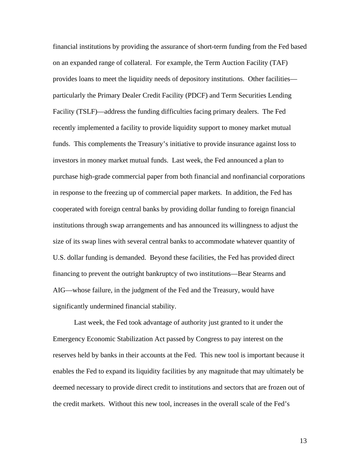financial institutions by providing the assurance of short-term funding from the Fed based on an expanded range of collateral. For example, the Term Auction Facility (TAF) provides loans to meet the liquidity needs of depository institutions. Other facilities particularly the Primary Dealer Credit Facility (PDCF) and Term Securities Lending Facility (TSLF)—address the funding difficulties facing primary dealers. The Fed recently implemented a facility to provide liquidity support to money market mutual funds. This complements the Treasury's initiative to provide insurance against loss to investors in money market mutual funds. Last week, the Fed announced a plan to purchase high-grade commercial paper from both financial and nonfinancial corporations in response to the freezing up of commercial paper markets. In addition, the Fed has cooperated with foreign central banks by providing dollar funding to foreign financial institutions through swap arrangements and has announced its willingness to adjust the size of its swap lines with several central banks to accommodate whatever quantity of U.S. dollar funding is demanded. Beyond these facilities, the Fed has provided direct financing to prevent the outright bankruptcy of two institutions—Bear Stearns and AIG—whose failure, in the judgment of the Fed and the Treasury, would have significantly undermined financial stability.

Last week, the Fed took advantage of authority just granted to it under the Emergency Economic Stabilization Act passed by Congress to pay interest on the reserves held by banks in their accounts at the Fed. This new tool is important because it enables the Fed to expand its liquidity facilities by any magnitude that may ultimately be deemed necessary to provide direct credit to institutions and sectors that are frozen out of the credit markets. Without this new tool, increases in the overall scale of the Fed's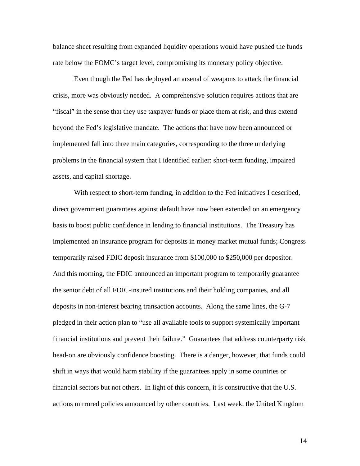balance sheet resulting from expanded liquidity operations would have pushed the funds rate below the FOMC's target level, compromising its monetary policy objective.

Even though the Fed has deployed an arsenal of weapons to attack the financial crisis, more was obviously needed. A comprehensive solution requires actions that are "fiscal" in the sense that they use taxpayer funds or place them at risk, and thus extend beyond the Fed's legislative mandate. The actions that have now been announced or implemented fall into three main categories, corresponding to the three underlying problems in the financial system that I identified earlier: short-term funding, impaired assets, and capital shortage.

With respect to short-term funding, in addition to the Fed initiatives I described, direct government guarantees against default have now been extended on an emergency basis to boost public confidence in lending to financial institutions. The Treasury has implemented an insurance program for deposits in money market mutual funds; Congress temporarily raised FDIC deposit insurance from \$100,000 to \$250,000 per depositor. And this morning, the FDIC announced an important program to temporarily guarantee the senior debt of all FDIC-insured institutions and their holding companies, and all deposits in non-interest bearing transaction accounts. Along the same lines, the G-7 pledged in their action plan to "use all available tools to support systemically important financial institutions and prevent their failure." Guarantees that address counterparty risk head-on are obviously confidence boosting. There is a danger, however, that funds could shift in ways that would harm stability if the guarantees apply in some countries or financial sectors but not others. In light of this concern, it is constructive that the U.S. actions mirrored policies announced by other countries. Last week, the United Kingdom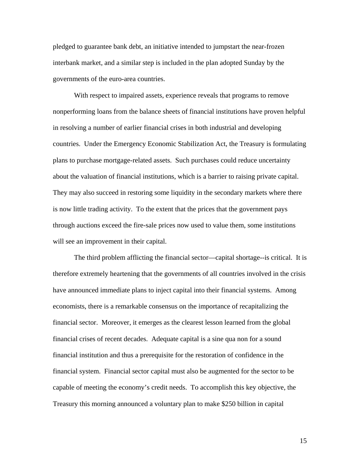pledged to guarantee bank debt, an initiative intended to jumpstart the near-frozen interbank market, and a similar step is included in the plan adopted Sunday by the governments of the euro-area countries.

With respect to impaired assets, experience reveals that programs to remove nonperforming loans from the balance sheets of financial institutions have proven helpful in resolving a number of earlier financial crises in both industrial and developing countries. Under the Emergency Economic Stabilization Act, the Treasury is formulating plans to purchase mortgage-related assets. Such purchases could reduce uncertainty about the valuation of financial institutions, which is a barrier to raising private capital. They may also succeed in restoring some liquidity in the secondary markets where there is now little trading activity. To the extent that the prices that the government pays through auctions exceed the fire-sale prices now used to value them, some institutions will see an improvement in their capital.

The third problem afflicting the financial sector—capital shortage--is critical. It is therefore extremely heartening that the governments of all countries involved in the crisis have announced immediate plans to inject capital into their financial systems. Among economists, there is a remarkable consensus on the importance of recapitalizing the financial sector. Moreover, it emerges as the clearest lesson learned from the global financial crises of recent decades. Adequate capital is a sine qua non for a sound financial institution and thus a prerequisite for the restoration of confidence in the financial system. Financial sector capital must also be augmented for the sector to be capable of meeting the economy's credit needs. To accomplish this key objective, the Treasury this morning announced a voluntary plan to make \$250 billion in capital